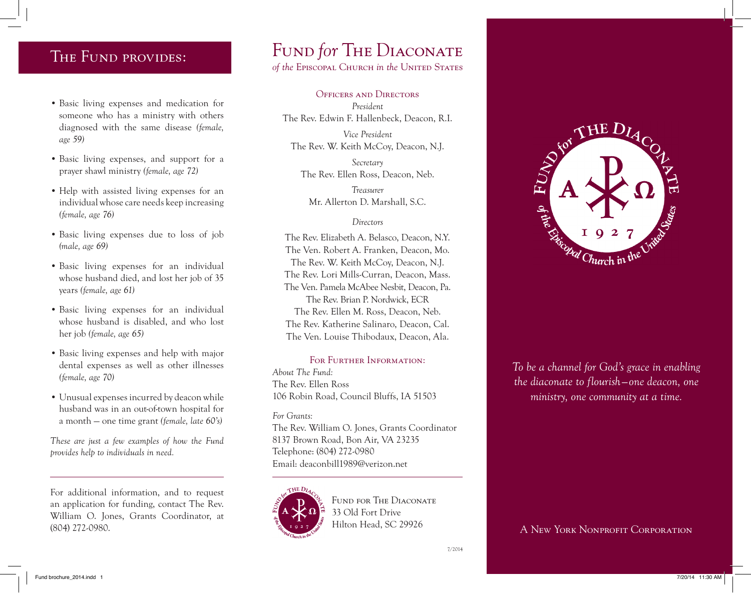- Basic living expenses and medication for someone who has a ministry with others diagnosed with the same disease *(female, age 59)*
- Basic living expenses, and support for a prayer shawl ministry *(female, age 72)*
- Help with assisted living expenses for an individual whose care needs keep increasing *(female, age 76)*
- Basic living expenses due to loss of job *(male, age 69)*
- Basic living expenses for an individual whose husband died, and lost her job of 35 years *(female, age 61)*
- Basic living expenses for an individual whose husband is disabled, and who lost her job *(female, age 65)*
- Basic living expenses and help with major dental expenses as well as other illnesses *(female, age 70)*
- Unusual expenses incurred by deacon while husband was in an out-of-town hospital for a month — one time grant *(female, late 60's)*

*These are just a few examples of how the Fund provides help to individuals in need.*

For additional information, and to request an application for funding, contact The Rev. William O. Jones, Grants Coordinator, at (804) 272-0980.

## THE FUND PROVIDES: FUND for THE DIACONATE

*of the* Episcopal Church *in the* United States

Officers and Directors *President* The Rev. Edwin F. Hallenbeck, Deacon, R.I.

*Vice President* The Rev. W. Keith McCoy, Deacon, N.J.

*Secretary*  The Rev. Ellen Ross, Deacon, Neb.

*Treasurer*  Mr. Allerton D. Marshall, S.C.

## *Directors*

The Rev. Elizabeth A. Belasco, Deacon, N.Y. The Ven. Robert A. Franken, Deacon, Mo. The Rev. W. Keith McCoy, Deacon, N.J. The Rev. Lori Mills-Curran, Deacon, Mass. The Ven. Pamela McAbee Nesbit, Deacon, Pa. The Rev. Brian P. Nordwick, ECR The Rev. Ellen M. Ross, Deacon, Neb. The Rev. Katherine Salinaro, Deacon, Cal. The Ven. Louise Thibodaux, Deacon, Ala.

FOR FURTHER INFORMATION: *About The Fund:* The Rev. Ellen Ross 106 Robin Road, Council Bluffs, IA 51503

*For Grants:* The Rev. William O. Jones, Grants Coordinator 8137 Brown Road, Bon Air, VA 23235 Telephone: (804) 272-0980 Email: deaconbill1989@verizon.net



FUND FOR THE DIACONATE 33 Old Fort Drive Hilton Head, SC 29926



*To be a channel for God's grace in enabling the diaconate to flourish—one deacon, one ministry, one community at a time.*

A New York Nonprofit Corporation

7/2014